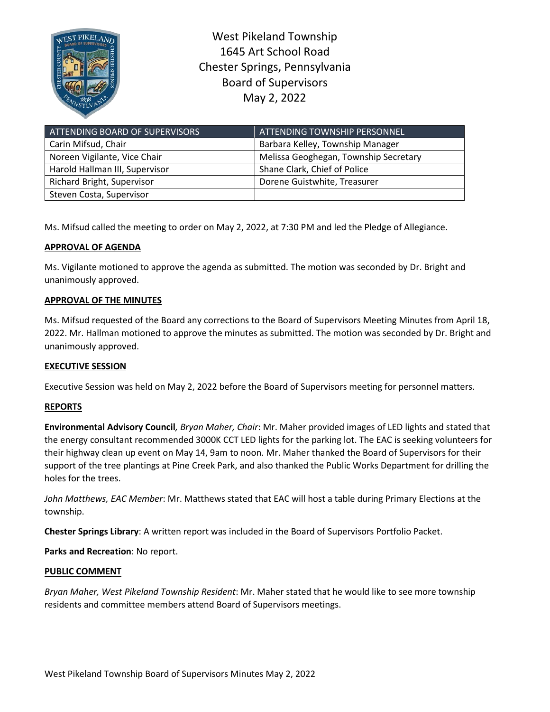

West Pikeland Township 1645 Art School Road Chester Springs, Pennsylvania Board of Supervisors May 2, 2022

| ATTENDING BOARD OF SUPERVISORS    | ATTENDING TOWNSHIP PERSONNEL          |
|-----------------------------------|---------------------------------------|
| Carin Mifsud, Chair               | Barbara Kelley, Township Manager      |
| Noreen Vigilante, Vice Chair      | Melissa Geoghegan, Township Secretary |
| Harold Hallman III, Supervisor    | Shane Clark, Chief of Police          |
| <b>Richard Bright, Supervisor</b> | Dorene Guistwhite, Treasurer          |
| Steven Costa, Supervisor          |                                       |

Ms. Mifsud called the meeting to order on May 2, 2022, at 7:30 PM and led the Pledge of Allegiance.

# **APPROVAL OF AGENDA**

Ms. Vigilante motioned to approve the agenda as submitted. The motion was seconded by Dr. Bright and unanimously approved.

# **APPROVAL OF THE MINUTES**

Ms. Mifsud requested of the Board any corrections to the Board of Supervisors Meeting Minutes from April 18, 2022. Mr. Hallman motioned to approve the minutes as submitted. The motion was seconded by Dr. Bright and unanimously approved.

# **EXECUTIVE SESSION**

Executive Session was held on May 2, 2022 before the Board of Supervisors meeting for personnel matters.

# **REPORTS**

**Environmental Advisory Council***, Bryan Maher, Chair*: Mr. Maher provided images of LED lights and stated that the energy consultant recommended 3000K CCT LED lights for the parking lot. The EAC is seeking volunteers for their highway clean up event on May 14, 9am to noon. Mr. Maher thanked the Board of Supervisors for their support of the tree plantings at Pine Creek Park, and also thanked the Public Works Department for drilling the holes for the trees.

*John Matthews, EAC Member*: Mr. Matthews stated that EAC will host a table during Primary Elections at the township.

**Chester Springs Library**: A written report was included in the Board of Supervisors Portfolio Packet.

**Parks and Recreation**: No report.

#### **PUBLIC COMMENT**

*Bryan Maher, West Pikeland Township Resident*: Mr. Maher stated that he would like to see more township residents and committee members attend Board of Supervisors meetings.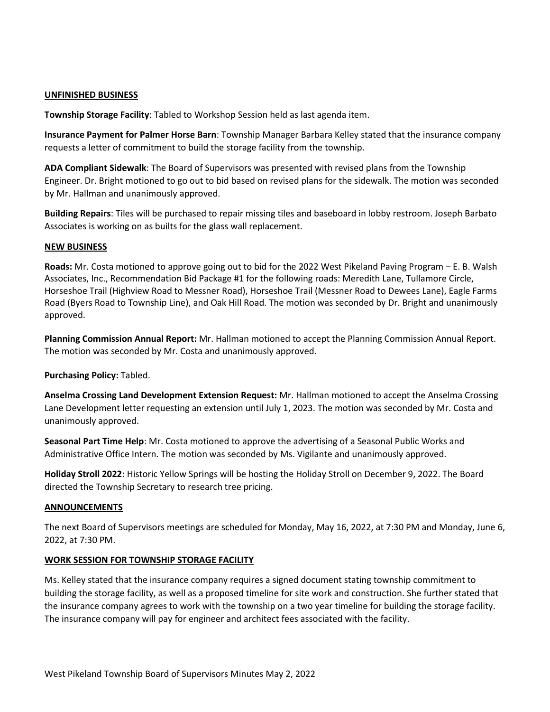### **UNFINISHED BUSINESS**

**Township Storage Facility**: Tabled to Workshop Session held as last agenda item.

**Insurance Payment for Palmer Horse Barn**: Township Manager Barbara Kelley stated that the insurance company requests a letter of commitment to build the storage facility from the township.

**ADA Compliant Sidewalk**: The Board of Supervisors was presented with revised plans from the Township Engineer. Dr. Bright motioned to go out to bid based on revised plans for the sidewalk. The motion was seconded by Mr. Hallman and unanimously approved.

**Building Repairs**: Tiles will be purchased to repair missing tiles and baseboard in lobby restroom. Joseph Barbato Associates is working on as builts for the glass wall replacement.

### **NEW BUSINESS**

**Roads:** Mr. Costa motioned to approve going out to bid for the 2022 West Pikeland Paving Program – E. B. Walsh Associates, Inc., Recommendation Bid Package #1 for the following roads: Meredith Lane, Tullamore Circle, Horseshoe Trail (Highview Road to Messner Road), Horseshoe Trail (Messner Road to Dewees Lane), Eagle Farms Road (Byers Road to Township Line), and Oak Hill Road. The motion was seconded by Dr. Bright and unanimously approved.

**Planning Commission Annual Report:** Mr. Hallman motioned to accept the Planning Commission Annual Report. The motion was seconded by Mr. Costa and unanimously approved.

**Purchasing Policy:** Tabled.

**Anselma Crossing Land Development Extension Request:** Mr. Hallman motioned to accept the Anselma Crossing Lane Development letter requesting an extension until July 1, 2023. The motion was seconded by Mr. Costa and unanimously approved.

**Seasonal Part Time Help**: Mr. Costa motioned to approve the advertising of a Seasonal Public Works and Administrative Office Intern. The motion was seconded by Ms. Vigilante and unanimously approved.

**Holiday Stroll 2022**: Historic Yellow Springs will be hosting the Holiday Stroll on December 9, 2022. The Board directed the Township Secretary to research tree pricing.

#### **ANNOUNCEMENTS**

The next Board of Supervisors meetings are scheduled for Monday, May 16, 2022, at 7:30 PM and Monday, June 6, 2022, at 7:30 PM.

# **WORK SESSION FOR TOWNSHIP STORAGE FACILITY**

Ms. Kelley stated that the insurance company requires a signed document stating township commitment to building the storage facility, as well as a proposed timeline for site work and construction. She further stated that the insurance company agrees to work with the township on a two year timeline for building the storage facility. The insurance company will pay for engineer and architect fees associated with the facility.